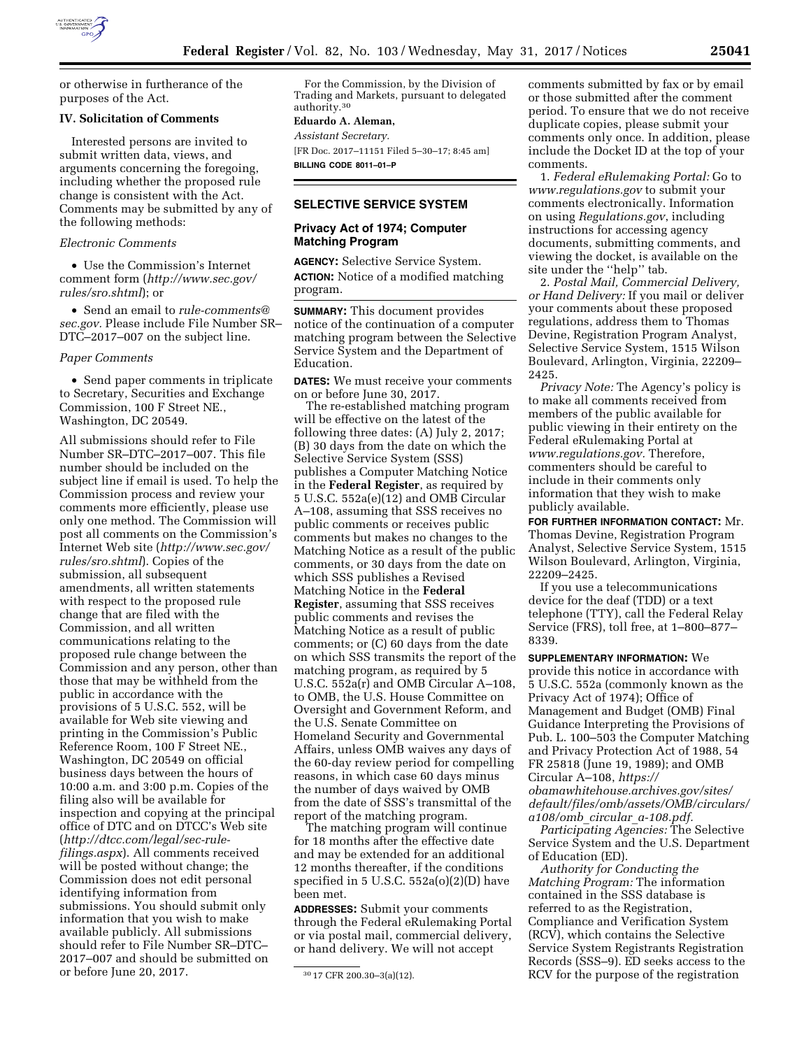

or otherwise in furtherance of the purposes of the Act.

### **IV. Solicitation of Comments**

Interested persons are invited to submit written data, views, and arguments concerning the foregoing, including whether the proposed rule change is consistent with the Act. Comments may be submitted by any of the following methods:

### *Electronic Comments*

• Use the Commission's Internet comment form (*[http://www.sec.gov/](http://www.sec.gov/rules/sro.shtml)  [rules/sro.shtml](http://www.sec.gov/rules/sro.shtml)*); or

• Send an email to *[rule-comments@](mailto:rule-comments@sec.gov) [sec.gov.](mailto:rule-comments@sec.gov)* Please include File Number SR– DTC–2017–007 on the subject line.

#### *Paper Comments*

• Send paper comments in triplicate to Secretary, Securities and Exchange Commission, 100 F Street NE., Washington, DC 20549.

All submissions should refer to File Number SR–DTC–2017–007. This file number should be included on the subject line if email is used. To help the Commission process and review your comments more efficiently, please use only one method. The Commission will post all comments on the Commission's Internet Web site (*[http://www.sec.gov/](http://www.sec.gov/rules/sro.shtml)  [rules/sro.shtml](http://www.sec.gov/rules/sro.shtml)*). Copies of the submission, all subsequent amendments, all written statements with respect to the proposed rule change that are filed with the Commission, and all written communications relating to the proposed rule change between the Commission and any person, other than those that may be withheld from the public in accordance with the provisions of 5 U.S.C. 552, will be available for Web site viewing and printing in the Commission's Public Reference Room, 100 F Street NE., Washington, DC 20549 on official business days between the hours of 10:00 a.m. and 3:00 p.m. Copies of the filing also will be available for inspection and copying at the principal office of DTC and on DTCC's Web site (*[http://dtcc.com/legal/sec-rule](http://dtcc.com/legal/sec-rule-filings.aspx)[filings.aspx](http://dtcc.com/legal/sec-rule-filings.aspx)*). All comments received will be posted without change; the Commission does not edit personal identifying information from submissions. You should submit only information that you wish to make available publicly. All submissions should refer to File Number SR–DTC– 2017–007 and should be submitted on or before June 20, 2017.

For the Commission, by the Division of Trading and Markets, pursuant to delegated authority.30

### **Eduardo A. Aleman,**

*Assistant Secretary.* 

[FR Doc. 2017–11151 Filed 5–30–17; 8:45 am] **BILLING CODE 8011–01–P** 

## **SELECTIVE SERVICE SYSTEM**

### **Privacy Act of 1974; Computer Matching Program**

**AGENCY:** Selective Service System. **ACTION:** Notice of a modified matching program.

**SUMMARY:** This document provides notice of the continuation of a computer matching program between the Selective Service System and the Department of Education.

**DATES:** We must receive your comments on or before June 30, 2017.

The re-established matching program will be effective on the latest of the following three dates: (A) July 2, 2017; (B) 30 days from the date on which the Selective Service System (SSS) publishes a Computer Matching Notice in the **Federal Register**, as required by 5 U.S.C. 552a(e)(12) and OMB Circular A–108, assuming that SSS receives no public comments or receives public comments but makes no changes to the Matching Notice as a result of the public comments, or 30 days from the date on which SSS publishes a Revised Matching Notice in the **Federal Register**, assuming that SSS receives public comments and revises the Matching Notice as a result of public comments; or (C) 60 days from the date on which SSS transmits the report of the matching program, as required by 5 U.S.C. 552a(r) and OMB Circular A–108, to OMB, the U.S. House Committee on Oversight and Government Reform, and the U.S. Senate Committee on Homeland Security and Governmental Affairs, unless OMB waives any days of the 60-day review period for compelling reasons, in which case 60 days minus the number of days waived by OMB from the date of SSS's transmittal of the report of the matching program.

The matching program will continue for 18 months after the effective date and may be extended for an additional 12 months thereafter, if the conditions specified in  $5$  U.S.C.  $552a(o)(2)(D)$  have been met.

**ADDRESSES:** Submit your comments through the Federal eRulemaking Portal or via postal mail, commercial delivery, or hand delivery. We will not accept

comments submitted by fax or by email or those submitted after the comment period. To ensure that we do not receive duplicate copies, please submit your comments only once. In addition, please include the Docket ID at the top of your comments.

1. *Federal eRulemaking Portal:* Go to *[www.regulations.gov](http://www.regulations.gov)* to submit your comments electronically. Information on using *Regulations.gov*, including instructions for accessing agency documents, submitting comments, and viewing the docket, is available on the site under the "help" tab.

2. *Postal Mail, Commercial Delivery, or Hand Delivery:* If you mail or deliver your comments about these proposed regulations, address them to Thomas Devine, Registration Program Analyst, Selective Service System, 1515 Wilson Boulevard, Arlington, Virginia, 22209– 2425.

*Privacy Note:* The Agency's policy is to make all comments received from members of the public available for public viewing in their entirety on the Federal eRulemaking Portal at *[www.regulations.gov.](http://www.regulations.gov)* Therefore, commenters should be careful to include in their comments only information that they wish to make publicly available.

**FOR FURTHER INFORMATION CONTACT:** Mr. Thomas Devine, Registration Program Analyst, Selective Service System, 1515 Wilson Boulevard, Arlington, Virginia, 22209–2425.

If you use a telecommunications device for the deaf (TDD) or a text telephone (TTY), call the Federal Relay Service (FRS), toll free, at 1–800–877– 8339.

# **SUPPLEMENTARY INFORMATION:** We

provide this notice in accordance with 5 U.S.C. 552a (commonly known as the Privacy Act of 1974); Office of Management and Budget (OMB) Final Guidance Interpreting the Provisions of Pub. L. 100–503 the Computer Matching and Privacy Protection Act of 1988, 54 FR 25818 (June 19, 1989); and OMB Circular A–108, *[https://](https://obamawhitehouse.archives.gov/sites/default/files/omb/assets/OMB/circulars/a108/omb_circular_a-108.pdf) [obamawhitehouse.archives.gov/sites/](https://obamawhitehouse.archives.gov/sites/default/files/omb/assets/OMB/circulars/a108/omb_circular_a-108.pdf) [default/files/omb/assets/OMB/circulars/](https://obamawhitehouse.archives.gov/sites/default/files/omb/assets/OMB/circulars/a108/omb_circular_a-108.pdf) a108/omb*\_*circular*\_*[a-108.pdf.](https://obamawhitehouse.archives.gov/sites/default/files/omb/assets/OMB/circulars/a108/omb_circular_a-108.pdf)* 

*Participating Agencies:* The Selective Service System and the U.S. Department of Education (ED).

*Authority for Conducting the Matching Program:* The information contained in the SSS database is referred to as the Registration, Compliance and Verification System (RCV), which contains the Selective Service System Registrants Registration Records (SSS–9). ED seeks access to the RCV for the purpose of the registration

<sup>30</sup> 17 CFR 200.30–3(a)(12).